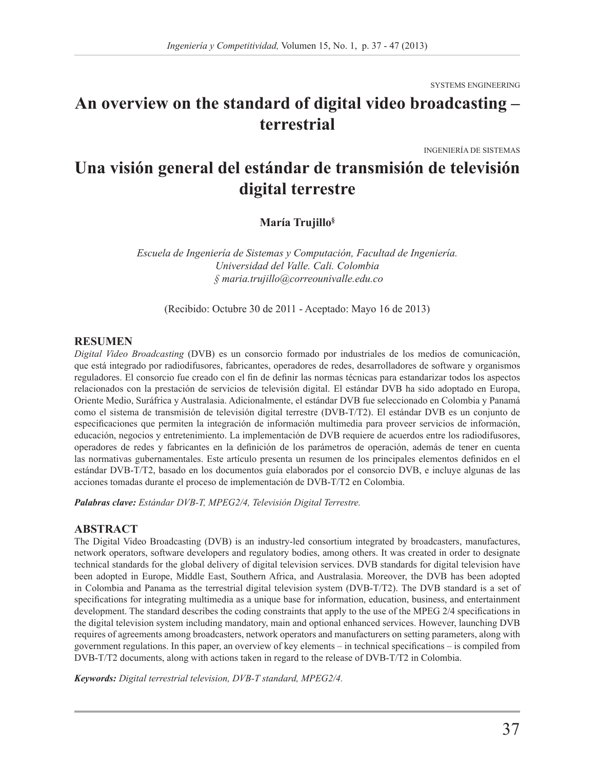SYSTEMS ENGINEERING

# **An overview on the standard of digital video broadcasting – terrestrial**

INGENIERÍA DE SISTEMAS

# **Una visión general del estándar de transmisión de televisión digital terrestre**

**María Trujillo§**

*Escuela de Ingeniería de Sistemas y Computación, Facultad de Ingeniería. Universidad del Valle. Cali. Colombia § maria.trujillo@correounivalle.edu.co*

(Recibido: Octubre 30 de 2011 - Aceptado: Mayo 16 de 2013)

#### **RESUMEN**

*Digital Video Broadcasting* (DVB) es un consorcio formado por industriales de los medios de comunicación, que está integrado por radiodifusores, fabricantes, operadores de redes, desarrolladores de software y organismos reguladores. El consorcio fue creado con el fin de definir las normas técnicas para estandarizar todos los aspectos relacionados con la prestación de servicios de televisión digital. El estándar DVB ha sido adoptado en Europa, Oriente Medio, Suráfrica y Australasia. Adicionalmente, el estándar DVB fue seleccionado en Colombia y Panamá como el sistema de transmisión de televisión digital terrestre (DVB-T/T2). El estándar DVB es un conjunto de especificaciones que permiten la integración de información multimedia para proveer servicios de información, educación, negocios y entretenimiento. La implementación de DVB requiere de acuerdos entre los radiodifusores, operadores de redes y fabricantes en la definición de los parámetros de operación, además de tener en cuenta las normativas gubernamentales. Este artículo presenta un resumen de los principales elementos definidos en el estándar DVB-T/T2, basado en los documentos guía elaborados por el consorcio DVB, e incluye algunas de las acciones tomadas durante el proceso de implementación de DVB-T/T2 en Colombia.

*Palabras clave: Estándar DVB-T, MPEG2/4, Televisión Digital Terrestre.* 

#### **ABSTRACT**

The Digital Video Broadcasting (DVB) is an industry-led consortium integrated by broadcasters, manufactures, network operators, software developers and regulatory bodies, among others. It was created in order to designate technical standards for the global delivery of digital television services. DVB standards for digital television have been adopted in Europe, Middle East, Southern Africa, and Australasia. Moreover, the DVB has been adopted in Colombia and Panama as the terrestrial digital television system (DVB-T/T2). The DVB standard is a set of specifications for integrating multimedia as a unique base for information, education, business, and entertainment development. The standard describes the coding constraints that apply to the use of the MPEG 2/4 specifications in the digital television system including mandatory, main and optional enhanced services. However, launching DVB requires of agreements among broadcasters, network operators and manufacturers on setting parameters, along with government regulations. In this paper, an overview of key elements – in technical specifications – is compiled from DVB-T/T2 documents, along with actions taken in regard to the release of DVB-T/T2 in Colombia.

*Keywords: Digital terrestrial television, DVB-T standard, MPEG2/4.*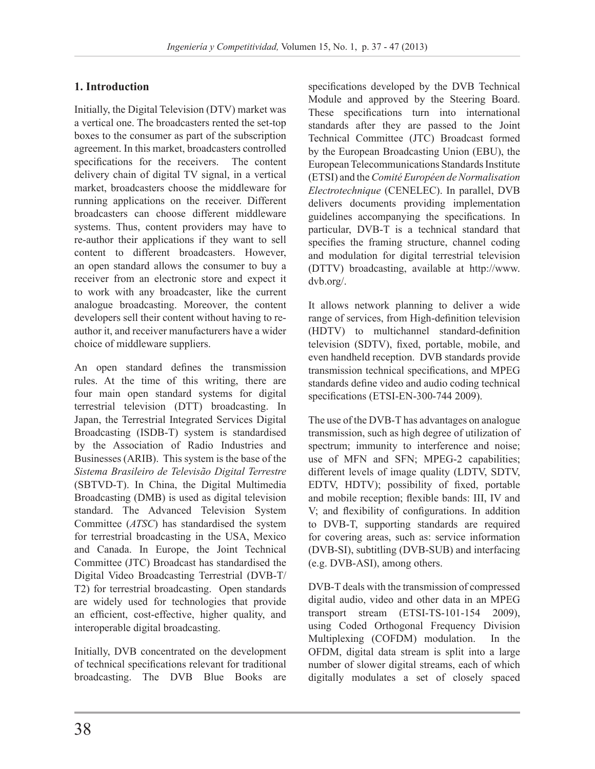# **1. Introduction**

Initially, the Digital Television (DTV) market was a vertical one. The broadcasters rented the set-top boxes to the consumer as part of the subscription agreement. In this market, broadcasters controlled specifications for the receivers. The content delivery chain of digital TV signal, in a vertical market, broadcasters choose the middleware for running applications on the receiver. Different broadcasters can choose different middleware systems. Thus, content providers may have to re-author their applications if they want to sell content to different broadcasters. However, an open standard allows the consumer to buy a receiver from an electronic store and expect it to work with any broadcaster, like the current analogue broadcasting. Moreover, the content developers sell their content without having to reauthor it, and receiver manufacturers have a wider choice of middleware suppliers.

An open standard defines the transmission rules. At the time of this writing, there are four main open standard systems for digital terrestrial television (DTT) broadcasting. In Japan, the Terrestrial Integrated Services Digital Broadcasting (ISDB-T) system is standardised by the Association of Radio Industries and Businesses (ARIB). This system is the base of the *Sistema Brasileiro de Televisão Digital Terrestre* (SBTVD-T). In China, the Digital Multimedia Broadcasting (DMB) is used as digital television standard. The Advanced Television System Committee (*ATSC*) has standardised the system for terrestrial broadcasting in the USA, Mexico and Canada. In Europe, the Joint Technical Committee (JTC) Broadcast has standardised the Digital Video Broadcasting Terrestrial (DVB-T/ T2) for terrestrial broadcasting. Open standards are widely used for technologies that provide an efficient, cost-effective, higher quality, and interoperable digital broadcasting.

Initially, DVB concentrated on the development of technical specifications relevant for traditional broadcasting. The DVB Blue Books are

specifications developed by the DVB Technical Module and approved by the Steering Board. These specifications turn into international standards after they are passed to the Joint Technical Committee (JTC) Broadcast formed by the European Broadcasting Union (EBU), the European Telecommunications Standards Institute (ETSI) and the *Comité Européen de Normalisation Electrotechnique* (CENELEC). In parallel, DVB delivers documents providing implementation guidelines accompanying the specifications. In particular, DVB-T is a technical standard that specifies the framing structure, channel coding and modulation for digital terrestrial television (DTTV) broadcasting, available at http://www. dvb.org/.

It allows network planning to deliver a wide range of services, from High-definition television (HDTV) to multichannel standard-definition television (SDTV), fixed, portable, mobile, and even handheld reception. DVB standards provide transmission technical specifications, and MPEG standards define video and audio coding technical specifications (ETSI-EN-300-744 2009).

The use of the DVB-T has advantages on analogue transmission, such as high degree of utilization of spectrum; immunity to interference and noise; use of MFN and SFN; MPEG-2 capabilities; different levels of image quality (LDTV, SDTV, EDTV, HDTV); possibility of fixed, portable and mobile reception; flexible bands: III, IV and V; and flexibility of configurations. In addition to DVB-T, supporting standards are required for covering areas, such as: service information (DVB-SI), subtitling (DVB-SUB) and interfacing (e.g. DVB-ASI), among others.

DVB-T deals with the transmission of compressed digital audio, video and other data in an MPEG transport stream (ETSI-TS-101-154 2009), using Coded Orthogonal Frequency Division Multiplexing (COFDM) modulation. In the OFDM, digital data stream is split into a large number of slower digital streams, each of which digitally modulates a set of closely spaced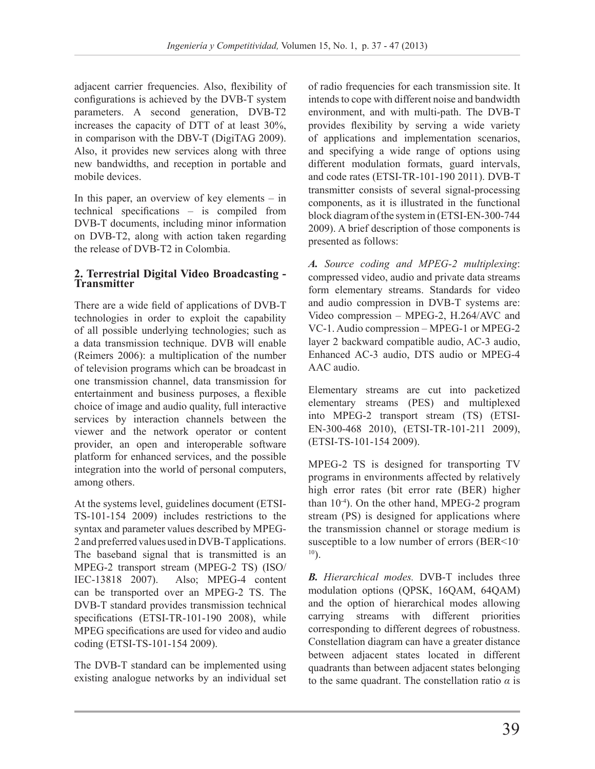adjacent carrier frequencies. Also, flexibility of configurations is achieved by the DVB-T system parameters. A second generation, DVB-T2 increases the capacity of DTT of at least 30%, in comparison with the DBV-T (DigiTAG 2009). Also, it provides new services along with three new bandwidths, and reception in portable and mobile devices.

In this paper, an overview of key elements – in technical specifications – is compiled from DVB-T documents, including minor information on DVB-T2, along with action taken regarding the release of DVB-T2 in Colombia.

## **2. Terrestrial Digital Video Broadcasting - Transmitter**

There are a wide field of applications of DVB-T technologies in order to exploit the capability of all possible underlying technologies; such as a data transmission technique. DVB will enable (Reimers 2006): a multiplication of the number of television programs which can be broadcast in one transmission channel, data transmission for entertainment and business purposes, a flexible choice of image and audio quality, full interactive services by interaction channels between the viewer and the network operator or content provider, an open and interoperable software platform for enhanced services, and the possible integration into the world of personal computers, among others.

At the systems level, guidelines document (ETSI-TS-101-154 2009) includes restrictions to the syntax and parameter values described by MPEG-2 and preferred values used in DVB-T applications. The baseband signal that is transmitted is an MPEG-2 transport stream (MPEG-2 TS) (ISO/ IEC-13818 2007). Also; MPEG-4 content can be transported over an MPEG-2 TS. The DVB-T standard provides transmission technical specifications (ETSI-TR-101-190 2008), while MPEG specifications are used for video and audio coding (ETSI-TS-101-154 2009).

The DVB-T standard can be implemented using existing analogue networks by an individual set of radio frequencies for each transmission site. It intends to cope with different noise and bandwidth environment, and with multi-path. The DVB-T provides flexibility by serving a wide variety of applications and implementation scenarios, and specifying a wide range of options using different modulation formats, guard intervals, and code rates (ETSI-TR-101-190 2011). DVB-T transmitter consists of several signal-processing components, as it is illustrated in the functional block diagram of the system in (ETSI-EN-300-744 2009). A brief description of those components is presented as follows:

*A. Source coding and MPEG-2 multiplexing*: compressed video, audio and private data streams form elementary streams. Standards for video and audio compression in DVB-T systems are: Video compression – MPEG-2, H.264/AVC and VC-1. Audio compression – MPEG-1 or MPEG-2 layer 2 backward compatible audio, AC-3 audio, Enhanced AC-3 audio, DTS audio or MPEG-4 AAC audio.

Elementary streams are cut into packetized elementary streams (PES) and multiplexed into MPEG-2 transport stream (TS) (ETSI-EN-300-468 2010), (ETSI-TR-101-211 2009), (ETSI-TS-101-154 2009).

MPEG-2 TS is designed for transporting TV programs in environments affected by relatively high error rates (bit error rate (BER) higher than 10-4). On the other hand, MPEG-2 program stream (PS) is designed for applications where the transmission channel or storage medium is susceptible to a low number of errors (BER<10- $10$ ).

*B. Hierarchical modes.* DVB-T includes three modulation options (QPSK, 16QAM, 64QAM) and the option of hierarchical modes allowing carrying streams with different priorities corresponding to different degrees of robustness. Constellation diagram can have a greater distance between adjacent states located in different quadrants than between adjacent states belonging to the same quadrant. The constellation ratio *α* is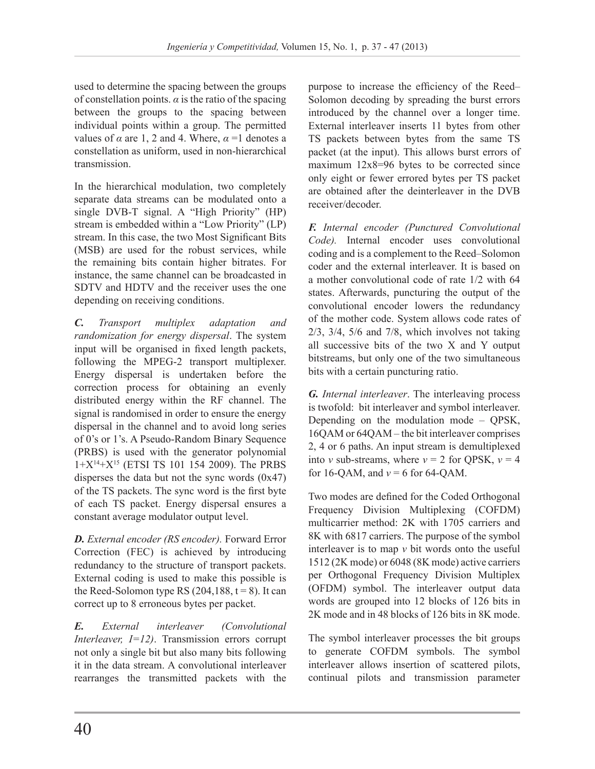used to determine the spacing between the groups of constellation points.  $\alpha$  is the ratio of the spacing between the groups to the spacing between individual points within a group. The permitted values of  $\alpha$  are 1, 2 and 4. Where,  $\alpha$  =1 denotes a constellation as uniform, used in non-hierarchical transmission.

In the hierarchical modulation, two completely separate data streams can be modulated onto a single DVB-T signal. A "High Priority" (HP) stream is embedded within a "Low Priority" (LP) stream. In this case, the two Most Significant Bits (MSB) are used for the robust services, while the remaining bits contain higher bitrates. For instance, the same channel can be broadcasted in SDTV and HDTV and the receiver uses the one depending on receiving conditions.

*C. Transport multiplex adaptation and randomization for energy dispersal*. The system input will be organised in fixed length packets, following the MPEG-2 transport multiplexer. Energy dispersal is undertaken before the correction process for obtaining an evenly distributed energy within the RF channel. The signal is randomised in order to ensure the energy dispersal in the channel and to avoid long series of 0's or 1's. A Pseudo-Random Binary Sequence (PRBS) is used with the generator polynomial  $1+X^{14}+X^{15}$  (ETSI TS 101 154 2009). The PRBS disperses the data but not the sync words  $(0x47)$ of the TS packets. The sync word is the first byte of each TS packet. Energy dispersal ensures a constant average modulator output level.

*D. External encoder (RS encoder).* Forward Error Correction (FEC) is achieved by introducing redundancy to the structure of transport packets. External coding is used to make this possible is the Reed-Solomon type RS  $(204, 188, t = 8)$ . It can correct up to 8 erroneous bytes per packet.

*E. External interleaver (Convolutional Interleaver, I=12)*. Transmission errors corrupt not only a single bit but also many bits following it in the data stream. A convolutional interleaver rearranges the transmitted packets with the

purpose to increase the efficiency of the Reed– Solomon decoding by spreading the burst errors introduced by the channel over a longer time. External interleaver inserts 11 bytes from other TS packets between bytes from the same TS packet (at the input). This allows burst errors of maximum 12x8=96 bytes to be corrected since only eight or fewer errored bytes per TS packet are obtained after the deinterleaver in the DVB receiver/decoder.

*F. Internal encoder (Punctured Convolutional Code).* Internal encoder uses convolutional coding and is a complement to the Reed–Solomon coder and the external interleaver. It is based on a mother convolutional code of rate 1/2 with 64 states. Afterwards, puncturing the output of the convolutional encoder lowers the redundancy of the mother code. System allows code rates of 2/3, 3/4, 5/6 and 7/8, which involves not taking all successive bits of the two X and Y output bitstreams, but only one of the two simultaneous bits with a certain puncturing ratio.

*G. Internal interleaver*. The interleaving process is twofold: bit interleaver and symbol interleaver. Depending on the modulation mode – QPSK, 16QAM or 64QAM – the bit interleaver comprises 2, 4 or 6 paths. An input stream is demultiplexed into *v* sub-streams, where  $v = 2$  for QPSK,  $v = 4$ for 16-QAM, and  $v = 6$  for 64-QAM.

Two modes are defined for the Coded Orthogonal Frequency Division Multiplexing (COFDM) multicarrier method: 2K with 1705 carriers and 8K with 6817 carriers. The purpose of the symbol interleaver is to map *v* bit words onto the useful 1512 (2K mode) or 6048 (8K mode) active carriers per Orthogonal Frequency Division Multiplex (OFDM) symbol. The interleaver output data words are grouped into 12 blocks of 126 bits in 2K mode and in 48 blocks of 126 bits in 8K mode.

The symbol interleaver processes the bit groups to generate COFDM symbols. The symbol interleaver allows insertion of scattered pilots, continual pilots and transmission parameter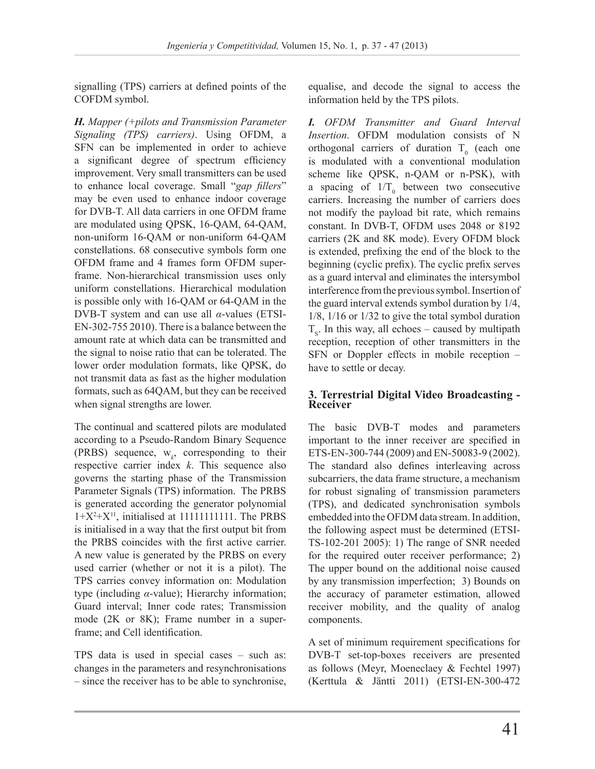signalling (TPS) carriers at defined points of the COFDM symbol.

*H. Mapper (+pilots and Transmission Parameter Signaling (TPS) carriers)*. Using OFDM, a SFN can be implemented in order to achieve a significant degree of spectrum efficiency improvement. Very small transmitters can be used to enhance local coverage. Small "*gap fillers*" may be even used to enhance indoor coverage for DVB-T. All data carriers in one OFDM frame are modulated using QPSK, 16-QAM, 64-QAM, non-uniform 16-QAM or non-uniform 64-QAM constellations. 68 consecutive symbols form one OFDM frame and 4 frames form OFDM superframe. Non-hierarchical transmission uses only uniform constellations. Hierarchical modulation is possible only with 16-QAM or 64-QAM in the DVB-T system and can use all *α*-values (ETSI-EN-302-755 2010). There is a balance between the amount rate at which data can be transmitted and the signal to noise ratio that can be tolerated. The lower order modulation formats, like QPSK, do not transmit data as fast as the higher modulation formats, such as 64QAM, but they can be received when signal strengths are lower.

The continual and scattered pilots are modulated according to a Pseudo-Random Binary Sequence (PRBS) sequence,  $w_k$ , corresponding to their respective carrier index *k*. This sequence also governs the starting phase of the Transmission Parameter Signals (TPS) information. The PRBS is generated according the generator polynomial  $1+X^2+X^{11}$ , initialised at 111111111111. The PRBS is initialised in a way that the first output bit from the PRBS coincides with the first active carrier. A new value is generated by the PRBS on every used carrier (whether or not it is a pilot). The TPS carries convey information on: Modulation type (including *α*-value); Hierarchy information; Guard interval; Inner code rates; Transmission mode (2K or 8K); Frame number in a superframe; and Cell identification.

TPS data is used in special cases – such as: changes in the parameters and resynchronisations – since the receiver has to be able to synchronise,

equalise, and decode the signal to access the information held by the TPS pilots.

*I. OFDM Transmitter and Guard Interval Insertion*. OFDM modulation consists of N orthogonal carriers of duration  $T_0$  (each one is modulated with a conventional modulation scheme like QPSK, n-QAM or n-PSK), with a spacing of  $1/T_0$  between two consecutive carriers. Increasing the number of carriers does not modify the payload bit rate, which remains constant. In DVB-T, OFDM uses 2048 or 8192 carriers (2K and 8K mode). Every OFDM block is extended, prefixing the end of the block to the beginning (cyclic prefix). The cyclic prefix serves as a guard interval and eliminates the intersymbol interference from the previous symbol. Insertion of the guard interval extends symbol duration by 1/4, 1/8, 1/16 or 1/32 to give the total symbol duration  $T<sub>s</sub>$ . In this way, all echoes – caused by multipath reception, reception of other transmitters in the SFN or Doppler effects in mobile reception – have to settle or decay.

### **3. Terrestrial Digital Video Broadcasting - Receiver**

The basic DVB-T modes and parameters important to the inner receiver are specified in ETS-EN-300-744 (2009) and EN-50083-9 (2002). The standard also defines interleaving across subcarriers, the data frame structure, a mechanism for robust signaling of transmission parameters (TPS), and dedicated synchronisation symbols embedded into the OFDM data stream. In addition, the following aspect must be determined (ETSI-TS-102-201 2005): 1) The range of SNR needed for the required outer receiver performance; 2) The upper bound on the additional noise caused by any transmission imperfection; 3) Bounds on the accuracy of parameter estimation, allowed receiver mobility, and the quality of analog components.

A set of minimum requirement specifications for DVB-T set-top-boxes receivers are presented as follows (Meyr, Moeneclaey & Fechtel 1997) (Kerttula & Jäntti 2011) (ETSI-EN-300-472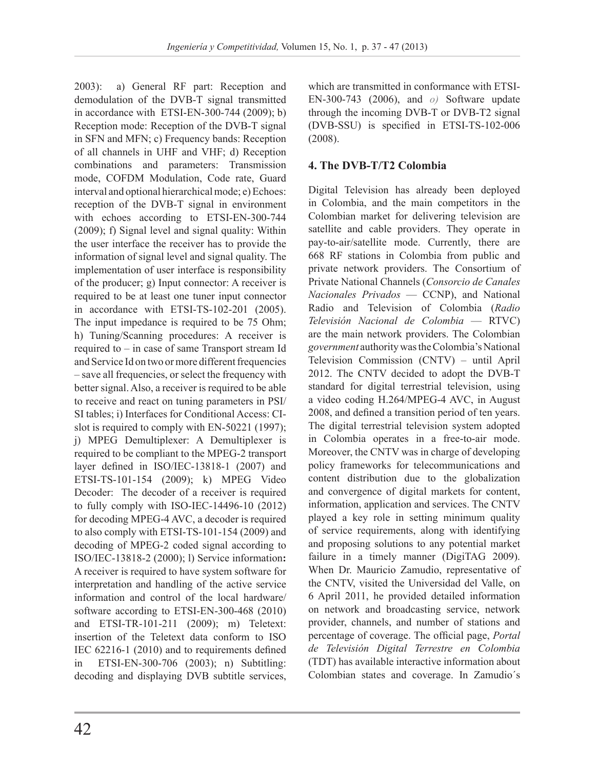2003): a) General RF part: Reception and demodulation of the DVB-T signal transmitted in accordance with ETSI-EN-300-744 (2009); b) Reception mode: Reception of the DVB-T signal in SFN and MFN; c) Frequency bands: Reception of all channels in UHF and VHF; d) Reception combinations and parameters: Transmission mode, COFDM Modulation, Code rate, Guard interval and optional hierarchical mode; e) Echoes: reception of the DVB-T signal in environment with echoes according to ETSI-EN-300-744 (2009); f) Signal level and signal quality: Within the user interface the receiver has to provide the information of signal level and signal quality. The implementation of user interface is responsibility of the producer; g) Input connector: A receiver is required to be at least one tuner input connector in accordance with ETSI-TS-102-201 (2005). The input impedance is required to be 75 Ohm; h) Tuning/Scanning procedures: A receiver is required to – in case of same Transport stream Id and Service Id on two or more different frequencies – save all frequencies, or select the frequency with better signal. Also, a receiver is required to be able to receive and react on tuning parameters in PSI/ SI tables; i) Interfaces for Conditional Access: CIslot is required to comply with EN-50221 (1997); j) MPEG Demultiplexer: A Demultiplexer is required to be compliant to the MPEG-2 transport layer defined in ISO/IEC-13818-1 (2007) and ETSI-TS-101-154 (2009); k) MPEG Video Decoder: The decoder of a receiver is required to fully comply with ISO-IEC-14496-10 (2012) for decoding MPEG-4 AVC, a decoder is required to also comply with ETSI-TS-101-154 (2009) and decoding of MPEG-2 coded signal according to ISO/IEC-13818-2 (2000); l) Service information**:**  A receiver is required to have system software for interpretation and handling of the active service information and control of the local hardware/ software according to ETSI-EN-300-468 (2010) and ETSI-TR-101-211 (2009); m) Teletext: insertion of the Teletext data conform to ISO IEC 62216-1 (2010) and to requirements defined in ETSI-EN-300-706 (2003); n) Subtitling: decoding and displaying DVB subtitle services,

which are transmitted in conformance with ETSI-EN-300-743 (2006), and *o)* Software update through the incoming DVB-T or DVB-T2 signal (DVB-SSU) is specified in ETSI-TS-102-006 (2008).

## **4. The DVB-T/T2 Colombia**

Digital Television has already been deployed in Colombia, and the main competitors in the Colombian market for delivering television are satellite and cable providers. They operate in pay-to-air/satellite mode. Currently, there are 668 RF stations in Colombia from public and private network providers. The Consortium of Private National Channels (*Consorcio de Canales Nacionales Privados* — CCNP), and National Radio and Television of Colombia (*Radio Televisión Nacional de Colombia* — RTVC) are the main network providers. The Colombian *government* authority was the Colombia's National Television Commission (CNTV) – until April 2012. The CNTV decided to adopt the DVB-T standard for digital terrestrial television, using a video coding H.264/MPEG-4 AVC, in August 2008, and defined a transition period of ten years. The digital terrestrial television system adopted in Colombia operates in a free-to-air mode. Moreover, the CNTV was in charge of developing policy frameworks for telecommunications and content distribution due to the globalization and convergence of digital markets for content, information, application and services. The CNTV played a key role in setting minimum quality of service requirements, along with identifying and proposing solutions to any potential market failure in a timely manner (DigiTAG 2009). When Dr. Mauricio Zamudio, representative of the CNTV, visited the Universidad del Valle, on 6 April 2011, he provided detailed information on network and broadcasting service, network provider, channels, and number of stations and percentage of coverage. The official page, *Portal de Televisión Digital Terrestre en Colombia* (TDT) has available interactive information about Colombian states and coverage. In Zamudio´s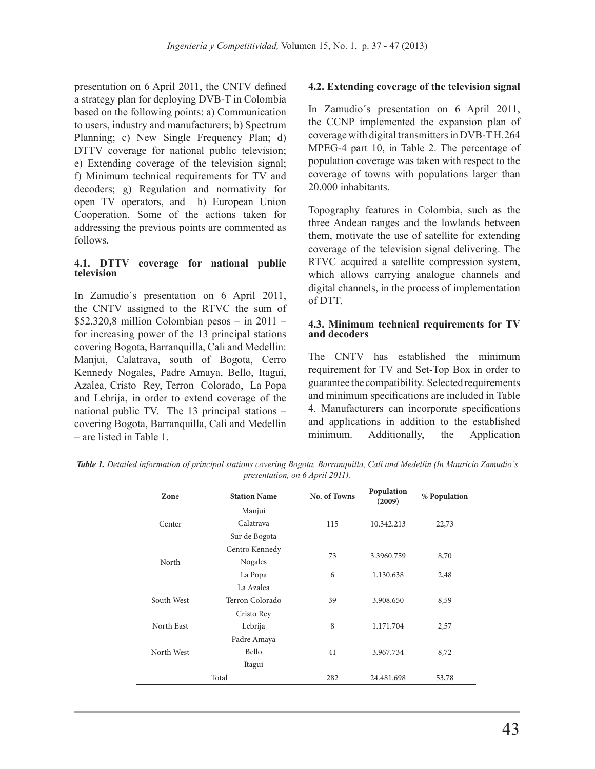presentation on 6 April 2011, the CNTV defined a strategy plan for deploying DVB-T in Colombia based on the following points: a) Communication to users, industry and manufacturers; b) Spectrum Planning; c) New Single Frequency Plan; d) DTTV coverage for national public television; e) Extending coverage of the television signal; f) Minimum technical requirements for TV and decoders; g) Regulation and normativity for open TV operators, and h) European Union Cooperation. Some of the actions taken for addressing the previous points are commented as follows.

#### **4.1. DTTV coverage for national public television**

In Zamudio´s presentation on 6 April 2011, the CNTV assigned to the RTVC the sum of  $$52.320,8$  million Colombian pesos – in 2011 – for increasing power of the 13 principal stations covering Bogota, Barranquilla, Cali and Medellin: Manjui, Calatrava, south of Bogota, Cerro Kennedy Nogales, Padre Amaya, Bello, Itagui, Azalea, Cristo Rey, Terron Colorado, La Popa and Lebrija, in order to extend coverage of the national public TV. The 13 principal stations – covering Bogota, Barranquilla, Cali and Medellin – are listed in Table 1.

## **4.2. Extending coverage of the television signal**

In Zamudio´s presentation on 6 April 2011, the CCNP implemented the expansion plan of coverage with digital transmitters in DVB-T H.264 MPEG-4 part 10, in Table 2. The percentage of population coverage was taken with respect to the coverage of towns with populations larger than 20.000 inhabitants.

Topography features in Colombia, such as the three Andean ranges and the lowlands between them, motivate the use of satellite for extending coverage of the television signal delivering. The RTVC acquired a satellite compression system, which allows carrying analogue channels and digital channels, in the process of implementation of DTT.

#### **4.3. Minimum technical requirements for TV and decoders**

The CNTV has established the minimum requirement for TV and Set-Top Box in order to guarantee the compatibility. Selected requirements and minimum specifications are included in Table 4. Manufacturers can incorporate specifications and applications in addition to the established minimum. Additionally, the Application

*Table 1. Detailed information of principal stations covering Bogota, Barranquilla, Cali and Medellin (In Mauricio Zamudio´s presentation, on 6 April 2011).*

| Zone       | <b>Station Name</b> | No. of Towns | Population<br>(2009) | % Population |  |
|------------|---------------------|--------------|----------------------|--------------|--|
|            | Manjuí              |              | 10.342.213           | 22,73        |  |
| Center     | Calatrava           | 115          |                      |              |  |
|            | Sur de Bogota       |              |                      |              |  |
|            | Centro Kennedy      |              |                      | 8,70         |  |
| North      | Nogales             | 73           | 3.3960.759           |              |  |
|            | La Popa             | 6            | 1.130.638            | 2,48         |  |
|            | La Azalea           |              |                      |              |  |
| South West | Terron Colorado     | 39           | 3.908.650            | 8,59         |  |
|            | Cristo Rey          |              |                      |              |  |
| North East | Lebrija             | 8            | 1.171.704            | 2,57         |  |
|            | Padre Amaya         |              |                      |              |  |
| North West | <b>Bello</b>        | 41           | 3.967.734            | 8,72         |  |
|            | Itagui              |              |                      |              |  |
|            | Total               | 282          | 24.481.698           | 53,78        |  |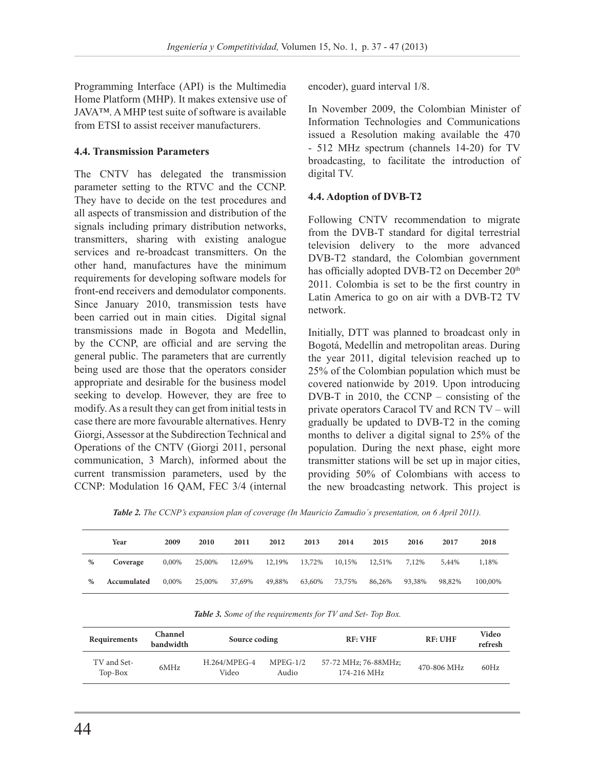Programming Interface (API) is the Multimedia Home Platform (MHP). It makes extensive use of JAVA™. A MHP test suite of software is available from ETSI to assist receiver manufacturers.

## **4.4. Transmission Parameters**

The CNTV has delegated the transmission parameter setting to the RTVC and the CCNP. They have to decide on the test procedures and all aspects of transmission and distribution of the signals including primary distribution networks, transmitters, sharing with existing analogue services and re-broadcast transmitters. On the other hand, manufactures have the minimum requirements for developing software models for front-end receivers and demodulator components. Since January 2010, transmission tests have been carried out in main cities. Digital signal transmissions made in Bogota and Medellin, by the CCNP, are official and are serving the general public. The parameters that are currently being used are those that the operators consider appropriate and desirable for the business model seeking to develop. However, they are free to modify. As a result they can get from initial tests in case there are more favourable alternatives. Henry Giorgi, Assessor at the Subdirection Technical and Operations of the CNTV (Giorgi 2011, personal communication, 3 March), informed about the current transmission parameters, used by the CCNP: Modulation 16 QAM, FEC 3/4 (internal

encoder), guard interval 1/8.

In November 2009, the Colombian Minister of Information Technologies and Communications issued a Resolution making available the 470 - 512 MHz spectrum (channels 14-20) for TV broadcasting, to facilitate the introduction of digital TV.

## **4.4. Adoption of DVB-T2**

Following CNTV recommendation to migrate from the DVB-T standard for digital terrestrial television delivery to the more advanced DVB-T2 standard, the Colombian government has officially adopted DVB-T2 on December 20<sup>th</sup> 2011. Colombia is set to be the first country in Latin America to go on air with a DVB-T2 TV network.

Initially, DTT was planned to broadcast only in Bogotá, Medellín and metropolitan areas. During the year 2011, digital television reached up to 25% of the Colombian population which must be covered nationwide by 2019. Upon introducing DVB-T in 2010, the CCNP – consisting of the private operators Caracol TV and RCN TV – will gradually be updated to DVB-T2 in the coming months to deliver a digital signal to 25% of the population. During the next phase, eight more transmitter stations will be set up in major cities, providing 50% of Colombians with access to the new broadcasting network. This project is

*Table 2. The CCNP's expansion plan of coverage (In Mauricio Zamudio´s presentation, on 6 April 2011).*

|      | Year        | 2009  | 2010   | 2011   | 2012   | 2013   | 2014   | 2015   | 2016   | 2017   | 2018    |
|------|-------------|-------|--------|--------|--------|--------|--------|--------|--------|--------|---------|
| $\%$ | Coverage    | 0,00% | 25,00% | 12,69% | 12,19% | 13,72% | 10,15% | 12,51% | 7,12%  | 5,44%  | 1,18%   |
| %    | Accumulated | 0,00% | 25,00% | 37,69% | 49,88% | 63,60% | 73.75% | 86,26% | 93,38% | 98,82% | 100,00% |

| <b>TWORE</b> 5: BOTHE 6) the requirements for 19 and Set 10p Bow. |                             |                       |                     |                                     |                |                  |  |
|-------------------------------------------------------------------|-----------------------------|-----------------------|---------------------|-------------------------------------|----------------|------------------|--|
| Requirements                                                      | <b>Channel</b><br>bandwidth | Source coding         |                     | <b>RF: VHF</b>                      | <b>RF: UHF</b> | Video<br>refresh |  |
| TV and Set-<br>Top-Box                                            | 6MHz                        | H.264/MPEG-4<br>Video | $MPEG-1/2$<br>Audio | 57-72 MHz; 76-88MHz;<br>174-216 MHz | 470-806 MHz    | 60Hz             |  |

*Table 3. Some of the requirements for TV and Set- Top Box.*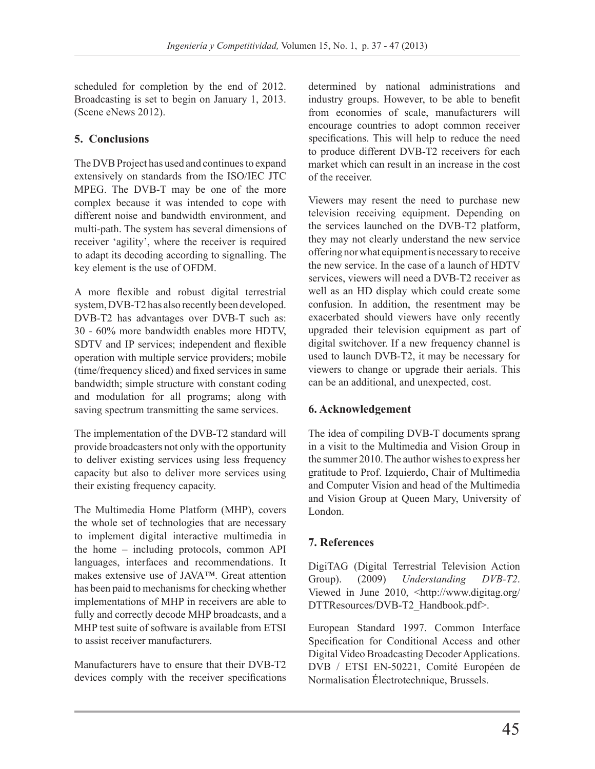scheduled for completion by the end of 2012. Broadcasting is set to begin on January 1, 2013. (Scene eNews 2012).

# **5. Conclusions**

The DVB Project has used and continues to expand extensively on standards from the ISO/IEC JTC MPEG. The DVB-T may be one of the more complex because it was intended to cope with different noise and bandwidth environment, and multi-path. The system has several dimensions of receiver 'agility', where the receiver is required to adapt its decoding according to signalling. The key element is the use of OFDM.

A more flexible and robust digital terrestrial system, DVB-T2 has also recently been developed. DVB-T2 has advantages over DVB-T such as: 30 - 60% more bandwidth enables more HDTV, SDTV and IP services; independent and flexible operation with multiple service providers; mobile (time/frequency sliced) and fixed services in same bandwidth; simple structure with constant coding and modulation for all programs; along with saving spectrum transmitting the same services.

The implementation of the DVB-T2 standard will provide broadcasters not only with the opportunity to deliver existing services using less frequency capacity but also to deliver more services using their existing frequency capacity.

The Multimedia Home Platform (MHP), covers the whole set of technologies that are necessary to implement digital interactive multimedia in the home – including protocols, common API languages, interfaces and recommendations. It makes extensive use of JAVA™. Great attention has been paid to mechanisms for checking whether implementations of MHP in receivers are able to fully and correctly decode MHP broadcasts, and a MHP test suite of software is available from ETSI to assist receiver manufacturers.

Manufacturers have to ensure that their DVB-T2 devices comply with the receiver specifications determined by national administrations and industry groups. However, to be able to benefit from economies of scale, manufacturers will encourage countries to adopt common receiver specifications. This will help to reduce the need to produce different DVB-T2 receivers for each market which can result in an increase in the cost of the receiver.

Viewers may resent the need to purchase new television receiving equipment. Depending on the services launched on the DVB-T2 platform, they may not clearly understand the new service offering nor what equipment is necessary to receive the new service. In the case of a launch of HDTV services, viewers will need a DVB-T2 receiver as well as an HD display which could create some confusion. In addition, the resentment may be exacerbated should viewers have only recently upgraded their television equipment as part of digital switchover. If a new frequency channel is used to launch DVB-T2, it may be necessary for viewers to change or upgrade their aerials. This can be an additional, and unexpected, cost.

# **6. Acknowledgement**

The idea of compiling DVB-T documents sprang in a visit to the Multimedia and Vision Group in the summer 2010. The author wishes to express her gratitude to Prof. Izquierdo, Chair of Multimedia and Computer Vision and head of the Multimedia and Vision Group at Queen Mary, University of London.

# **7. References**

DigiTAG (Digital Terrestrial Television Action Group). (2009) *Understanding DVB-T2*. Viewed in June 2010, <http://www.digitag.org/ DTTResources/DVB-T2\_Handbook.pdf>.

European Standard 1997. Common Interface Specification for Conditional Access and other Digital Video Broadcasting Decoder Applications. DVB / ETSI EN-50221, Comité Européen de Normalisation Électrotechnique, Brussels.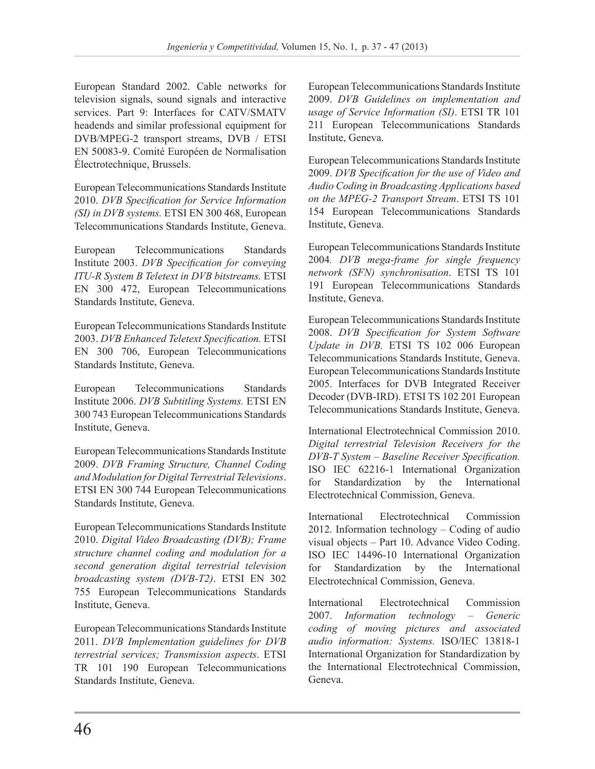European Standard 2002. Cable networks for television signals, sound signals and interactive services. Part 9: Interfaces for CATV/SMATV headends and similar professional equipment for DVB/MPEG-2 transport streams, DVB / ETSI EN 50083-9. Comité Européen de Normalisation Électrotechnique, Brussels.

European Telecommunications Standards Institute 2010. *DVB Specification for Service Information (SI) in DVB systems.* ETSI EN 300 468, European Telecommunications Standards Institute, Geneva.

European Telecommunications Standards Institute 2003. *DVB Specification for conveying ITU-R System B Teletext in DVB bitstreams.* ETSI EN 300 472, European Telecommunications Standards Institute, Geneva.

European Telecommunications Standards Institute 2003. *DVB Enhanced Teletext Specification.* ETSI EN 300 706, European Telecommunications Standards Institute, Geneva.

European Telecommunications Standards Institute 2006. *DVB Subtitling Systems.* ETSI EN 300 743 European Telecommunications Standards Institute, Geneva.

European Telecommunications Standards Institute 2009. *DVB Framing Structure, Channel Coding and Modulation for Digital Terrestrial Televisions*. ETSI EN 300 744 European Telecommunications Standards Institute, Geneva.

European Telecommunications Standards Institute 2010. *Digital Video Broadcasting (DVB); Frame structure channel coding and modulation for a second generation digital terrestrial television broadcasting system (DVB-T2)*. ETSI EN 302 755 European Telecommunications Standards Institute, Geneva.

European Telecommunications Standards Institute 2011. *DVB Implementation guidelines for DVB terrestrial services; Transmission aspects*. ETSI TR 101 190 European Telecommunications Standards Institute, Geneva.

European Telecommunications Standards Institute 2009. *DVB Guidelines on implementation and usage of Service Information (SI)*. ETSI TR 101 211 European Telecommunications Standards Institute, Geneva.

European Telecommunications Standards Institute 2009. *DVB Specification for the use of Video and Audio Coding in Broadcasting Applications based on the MPEG-2 Transport Stream*. ETSI TS 101 154 European Telecommunications Standards Institute, Geneva.

European Telecommunications Standards Institute 2004*. DVB mega-frame for single frequency network (SFN) synchronisation*. ETSI TS 101 191 European Telecommunications Standards Institute, Geneva.

European Telecommunications Standards Institute 2008. *DVB Specification for System Software Update in DVB.* ETSI TS 102 006 European Telecommunications Standards Institute, Geneva. European Telecommunications Standards Institute 2005. Interfaces for DVB Integrated Receiver Decoder (DVB-IRD). ETSI TS 102 201 European Telecommunications Standards Institute, Geneva.

International Electrotechnical Commission 2010. *Digital terrestrial Television Receivers for the DVB-T System – Baseline Receiver Specification.* ISO IEC 62216-1 International Organization for Standardization by the International Electrotechnical Commission, Geneva.

International Electrotechnical Commission 2012. Information technology – Coding of audio visual objects – Part 10. Advance Video Coding. ISO IEC 14496-10 International Organization for Standardization by the International Electrotechnical Commission, Geneva.

International Electrotechnical Commission 2007. *Information technology – Generic coding of moving pictures and associated audio information: Systems.* ISO/IEC 13818-1 International Organization for Standardization by the International Electrotechnical Commission, Geneva.